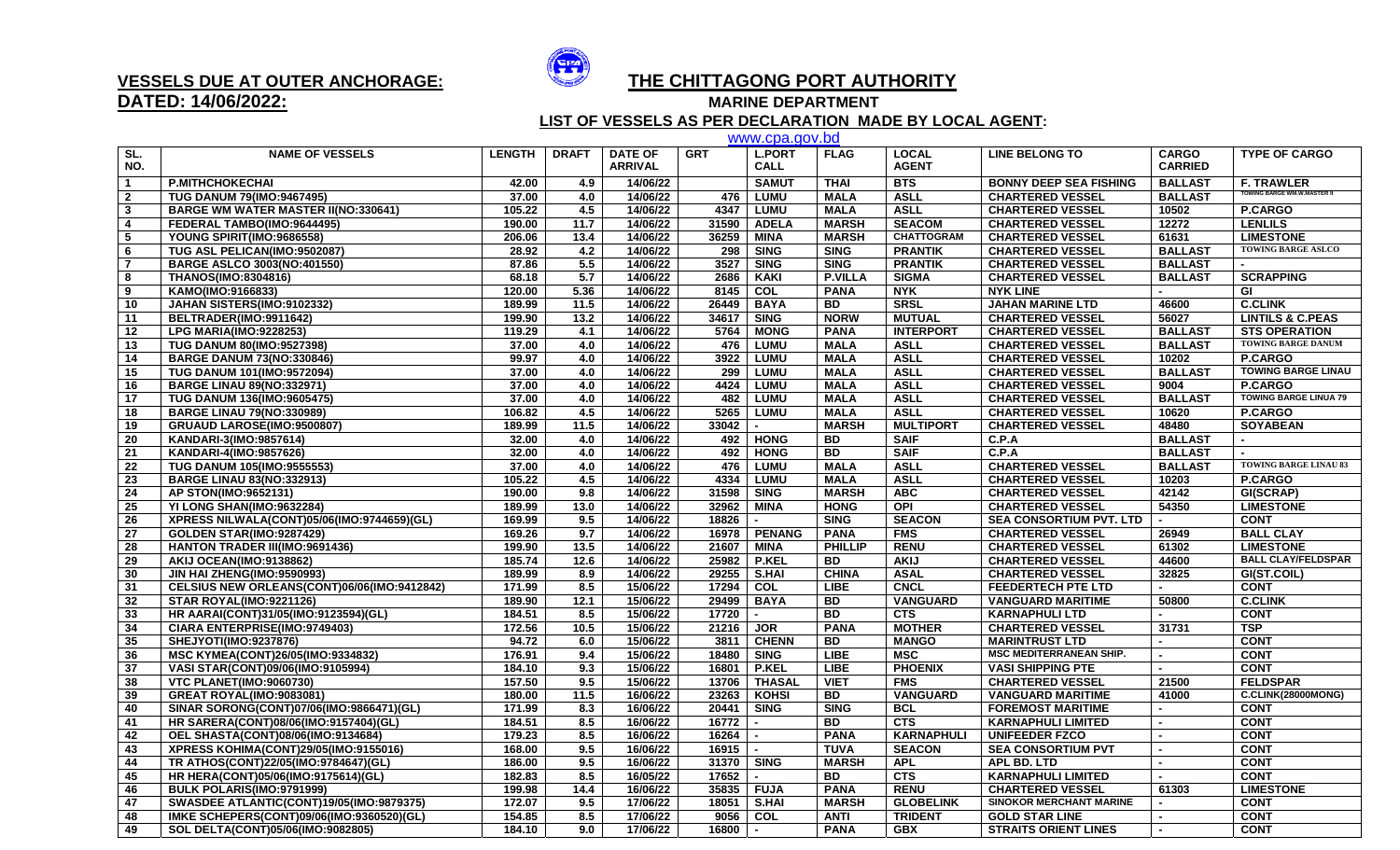

## **DATED: 14/06/2022:**

## **VESSELS DUE AT OUTER ANCHORAGE: THE CHITTAGONG PORT AUTHORITY**

**MARINE DEPARTMENT** 

 **LIST OF VESSELS AS PER DECLARATION MADE BY LOCAL AGENT:** www.cpa.gov.bd

|                         |                                                                          |                  |              |                                  |                      | www.cpa.gov.pd               |                          |                               |                                                  |                                |                                      |
|-------------------------|--------------------------------------------------------------------------|------------------|--------------|----------------------------------|----------------------|------------------------------|--------------------------|-------------------------------|--------------------------------------------------|--------------------------------|--------------------------------------|
| SL.<br>NO.              | <b>NAME OF VESSELS</b>                                                   | <b>LENGTH</b>    | <b>DRAFT</b> | <b>DATE OF</b><br><b>ARRIVAL</b> | <b>GRT</b>           | <b>L.PORT</b><br><b>CALL</b> | <b>FLAG</b>              | <b>LOCAL</b><br><b>AGENT</b>  | <b>LINE BELONG TO</b>                            | <b>CARGO</b><br><b>CARRIED</b> | <b>TYPE OF CARGO</b>                 |
| $\overline{1}$          | <b>P.MITHCHOKECHAI</b>                                                   | 42.00            | 4.9          | 14/06/22                         |                      | <b>SAMUT</b>                 | <b>THAI</b>              | <b>BTS</b>                    | <b>BONNY DEEP SEA FISHING</b>                    | <b>BALLAST</b>                 | <b>F. TRAWLER</b>                    |
| $\overline{\mathbf{2}}$ | <b>TUG DANUM 79(IMO:9467495)</b>                                         | 37.00            | 4.0          | 14/06/22                         | 476                  | <b>LUMU</b>                  | <b>MALA</b>              | <b>ASLL</b>                   | <b>CHARTERED VESSEL</b>                          | <b>BALLAST</b>                 | <b>TOWING BARGE WM.W.MASTER II</b>   |
| $\mathbf{3}$            | <b>BARGE WM WATER MASTER II(NO:330641)</b>                               | 105.22           | 4.5          | 14/06/22                         | 4347                 | <b>LUMU</b>                  | <b>MALA</b>              | <b>ASLL</b>                   | <b>CHARTERED VESSEL</b>                          | 10502                          | <b>P.CARGO</b>                       |
| $\overline{4}$          | FEDERAL TAMBO(IMO:9644495)                                               | 190.00           | 11.7         | 14/06/22                         | 31590                | <b>ADELA</b>                 | <b>MARSH</b>             | <b>SEACOM</b>                 | <b>CHARTERED VESSEL</b>                          | 12272                          | <b>LENLILS</b>                       |
| 5                       | YOUNG SPIRIT(IMO:9686558)                                                | 206.06           | 13.4         | 14/06/22                         | 36259                | <b>MINA</b>                  | <b>MARSH</b>             | <b>CHATTOGRAM</b>             | <b>CHARTERED VESSEL</b>                          | 61631                          | <b>LIMESTONE</b>                     |
| - 6                     | TUG ASL PELICAN(IMO:9502087)                                             | 28.92            | 4.2          | 14/06/22                         | 298                  | <b>SING</b>                  | <b>SING</b>              | <b>PRANTIK</b>                | <b>CHARTERED VESSEL</b>                          | <b>BALLAST</b>                 | <b>TOWING BARGE ASLCO</b>            |
| $\overline{7}$          | <b>BARGE ASLCO 3003(NO:401550)</b>                                       | 87.86            | 5.5          | 14/06/22                         | 3527                 | <b>SING</b>                  | <b>SING</b>              | <b>PRANTIK</b>                | <b>CHARTERED VESSEL</b>                          | <b>BALLAST</b>                 |                                      |
| 8                       | <b>THANOS(IMO:8304816)</b>                                               | 68.18            | 5.7          | 14/06/22                         | 2686                 | <b>KAKI</b>                  | <b>P.VILLA</b>           | <b>SIGMA</b>                  | <b>CHARTERED VESSEL</b>                          | <b>BALLAST</b>                 | <b>SCRAPPING</b>                     |
| 9                       | KAMO(IMO:9166833)                                                        | 120.00           | 5.36         | 14/06/22                         | 8145                 | $\overline{COL}$             | <b>PANA</b>              | <b>NYK</b>                    | <b>NYK LINE</b>                                  |                                | GI                                   |
| 10                      | JAHAN SISTERS(IMO:9102332)                                               | 189.99           | 11.5         | 14/06/22                         | 26449                | <b>BAYA</b>                  | <b>BD</b>                | <b>SRSL</b>                   | <b>JAHAN MARINE LTD</b>                          | 46600                          | <b>C.CLINK</b>                       |
| 11                      | BELTRADER(IMO:9911642)                                                   | 199.90           | 13.2         | 14/06/22                         | 34617                | <b>SING</b>                  | <b>NORW</b>              | <b>MUTUAL</b>                 | <b>CHARTERED VESSEL</b>                          | 56027                          | <b>LINTILS &amp; C.PEAS</b>          |
| 12                      | <b>LPG MARIA(IMO:9228253)</b>                                            | 119.29           | 4.1          | 14/06/22                         | 5764                 | <b>MONG</b>                  | <b>PANA</b>              | <b>INTERPORT</b>              | <b>CHARTERED VESSEL</b>                          | <b>BALLAST</b>                 | <b>STS OPERATION</b>                 |
| 13                      | TUG DANUM 80(IMO:9527398)                                                | 37.00            | 4.0          | 14/06/22                         | 476                  | <b>LUMU</b>                  | <b>MALA</b>              | <b>ASLL</b>                   | <b>CHARTERED VESSEL</b>                          | <b>BALLAST</b>                 | <b>TOWING BARGE DANUM</b>            |
| 14                      | <b>BARGE DANUM 73(NO:330846)</b>                                         | 99.97            | 4.0          | 14/06/22                         | 3922                 | <b>LUMU</b>                  | <b>MALA</b>              | <b>ASLL</b>                   | <b>CHARTERED VESSEL</b>                          | 10202                          | P.CARGO                              |
| 15                      | TUG DANUM 101(IMO:9572094)                                               | 37.00            | 4.0          | 14/06/22                         | 299                  | <b>LUMU</b>                  | <b>MALA</b>              | <b>ASLL</b>                   | <b>CHARTERED VESSEL</b>                          | <b>BALLAST</b>                 | <b>TOWING BARGE LINAU</b>            |
| 16                      | <b>BARGE LINAU 89(NO:332971)</b>                                         | 37.00            | 4.0          | 14/06/22                         | 4424                 | <b>LUMU</b>                  | <b>MALA</b>              | <b>ASLL</b>                   | <b>CHARTERED VESSEL</b>                          | 9004                           | P.CARGO                              |
| 17                      | <b>TUG DANUM 136(IMO:9605475)</b>                                        | 37.00            | 4.0          | 14/06/22                         | 482                  | <b>LUMU</b>                  | <b>MALA</b>              | <b>ASLL</b>                   | <b>CHARTERED VESSEL</b>                          | <b>BALLAST</b>                 | <b>TOWING BARGE LINUA 79</b>         |
| 18                      | <b>BARGE LINAU 79(NO:330989)</b>                                         | 106.82           | 4.5          | 14/06/22                         | 5265                 | <b>LUMU</b>                  | <b>MALA</b>              | <b>ASLL</b>                   | <b>CHARTERED VESSEL</b>                          | 10620                          | <b>P.CARGO</b>                       |
| 19                      | GRUAUD LAROSE(IMO:9500807)                                               | 189.99           | 11.5         | 14/06/22                         | 33042                |                              | <b>MARSH</b>             | <b>MULTIPORT</b>              | <b>CHARTERED VESSEL</b>                          | 48480                          | <b>SOYABEAN</b>                      |
| 20                      | KANDARI-3(IMO:9857614)                                                   | 32.00            | 4.0          | 14/06/22                         | 492                  | <b>HONG</b>                  | <b>BD</b>                | <b>SAIF</b>                   | C.P.A                                            | <b>BALLAST</b>                 |                                      |
| 21                      | KANDARI-4(IMO:9857626)                                                   | 32.00            | 4.0          | 14/06/22                         | 492                  | <b>HONG</b>                  | <b>BD</b>                | <b>SAIF</b>                   | C.P.A                                            | <b>BALLAST</b>                 |                                      |
| 22                      | <b>TUG DANUM 105(IMO:9555553)</b>                                        | 37.00            | 4.0          | 14/06/22                         | 476                  | <b>LUMU</b>                  | <b>MALA</b>              | <b>ASLL</b>                   | <b>CHARTERED VESSEL</b>                          | <b>BALLAST</b>                 | <b>TOWING BARGE LINAU 83</b>         |
| 23                      | <b>BARGE LINAU 83(NO:332913)</b>                                         | 105.22           | 4.5          | 14/06/22                         | 4334                 | <b>LUMU</b>                  | <b>MALA</b>              | <b>ASLL</b>                   | <b>CHARTERED VESSEL</b>                          | 10203                          | <b>P.CARGO</b>                       |
| 24                      | AP STON(IMO:9652131)                                                     | 190.00           | 9.8          | 14/06/22                         | 31598                | <b>SING</b>                  | <b>MARSH</b>             | <b>ABC</b>                    | <b>CHARTERED VESSEL</b>                          | 42142                          | GI(SCRAP)                            |
| 25                      | YI LONG SHAN(IMO:9632284)                                                | 189.99           | 13.0         | 14/06/22                         | 32962                | <b>MINA</b>                  | <b>HONG</b>              | <b>OPI</b>                    | <b>CHARTERED VESSEL</b>                          | 54350                          | <b>LIMESTONE</b>                     |
| 26                      |                                                                          | 169.99           | 9.5          | 14/06/22                         | 18826                |                              | <b>SING</b>              | <b>SEACON</b>                 | <b>SEA CONSORTIUM PVT. LTD</b>                   |                                | <b>CONT</b>                          |
| 27                      | XPRESS NILWALA(CONT)05/06(IMO:9744659)(GL)                               | 169.26           | 9.7          | 14/06/22                         | 16978                | <b>PENANG</b>                | <b>PANA</b>              | <b>FMS</b>                    | <b>CHARTERED VESSEL</b>                          | 26949                          |                                      |
|                         | <b>GOLDEN STAR(IMO:9287429)</b><br><b>HANTON TRADER III(IMO:9691436)</b> | 199.90           | 13.5         | 14/06/22                         | 21607                | <b>MINA</b>                  | <b>PHILLIP</b>           | <b>RENU</b>                   | <b>CHARTERED VESSEL</b>                          | 61302                          | <b>BALL CLAY</b><br><b>LIMESTONE</b> |
| 28<br>29                |                                                                          | 185.74           | 12.6         | 14/06/22                         | 25982                | <b>P.KEL</b>                 | <b>BD</b>                | <b>AKIJ</b>                   | <b>CHARTERED VESSEL</b>                          | 44600                          | <b>BALL CLAY/FELDSPAR</b>            |
| 30                      | <b>AKIJ OCEAN(IMO:9138862)</b>                                           | 189.99           | 8.9          | 14/06/22                         | 29255                | <b>S.HAI</b>                 | <b>CHINA</b>             | <b>ASAL</b>                   |                                                  | 32825                          | GI(ST.COIL)                          |
| 31                      | JIN HAI ZHENG(IMO:9590993)                                               | 171.99           | 8.5          | 15/06/22                         | 17294                | <b>COL</b>                   | <b>LIBE</b>              | <b>CNCL</b>                   | <b>CHARTERED VESSEL</b>                          | $\sim$                         | <b>CONT</b>                          |
|                         | CELSIUS NEW ORLEANS(CONT)06/06(IMO:9412842)                              |                  |              |                                  | 29499                | <b>BAYA</b>                  |                          | <b>VANGUARD</b>               | <b>FEEDERTECH PTE LTD</b>                        |                                |                                      |
| 32<br>33                | <b>STAR ROYAL(IMO:9221126)</b>                                           | 189.90<br>184.51 | 12.1<br>8.5  | 15/06/22<br>15/06/22             | 17720                | $\overline{a}$               | BD<br><b>BD</b>          | <b>CTS</b>                    | <b>VANGUARD MARITIME</b>                         | 50800                          | <b>C.CLINK</b><br><b>CONT</b>        |
|                         | HR AARAI(CONT)31/05(IMO:9123594)(GL)                                     | 172.56           | 10.5         |                                  |                      | JOR                          | <b>PANA</b>              |                               | <b>KARNAPHULI LTD</b>                            | $\blacksquare$<br>31731        | <b>TSP</b>                           |
| 34                      | CIARA ENTERPRISE(IMO:9749403)                                            |                  |              | 15/06/22                         | 21216                | <b>CHENN</b>                 |                          | <b>MOTHER</b><br><b>MANGO</b> | <b>CHARTERED VESSEL</b><br><b>MARINTRUST LTD</b> |                                | <b>CONT</b>                          |
| 35                      | SHEJYOTI(IMO:9237876)                                                    | 94.72<br>176.91  | 6.0<br>9.4   | 15/06/22<br>15/06/22             | 3811                 |                              | <b>BD</b><br><b>LIBE</b> | <b>MSC</b>                    | <b>MSC MEDITERRANEAN SHIP.</b>                   |                                | <b>CONT</b>                          |
| 36<br>37                | MSC KYMEA(CONT)26/05(IMO:9334832)                                        | 184.10           | 9.3          | 15/06/22                         | 18480<br>16801       | <b>SING</b><br><b>P.KEL</b>  | <b>LIBE</b>              | <b>PHOENIX</b>                | <b>VASI SHIPPING PTE</b>                         |                                | <b>CONT</b>                          |
|                         | VASI STAR(CONT)09/06(IMO:9105994)                                        | 157.50           | 9.5          | 15/06/22                         | 13706                | <b>THASAL</b>                | <b>VIET</b>              | <b>FMS</b>                    |                                                  |                                | <b>FELDSPAR</b>                      |
| 38                      | <b>VTC PLANET(IMO:9060730)</b>                                           |                  |              |                                  |                      | KOHSI                        |                          | <b>VANGUARD</b>               | <b>CHARTERED VESSEL</b>                          | 21500                          | C.CLINK(28000MONG)                   |
| 39                      | <b>GREAT ROYAL(IMO:9083081)</b>                                          | 180.00           | 11.5         | 16/06/22                         | 23263                |                              | <b>BD</b>                |                               | <b>VANGUARD MARITIME</b>                         | 41000                          |                                      |
| 40                      | SINAR SORONG(CONT)07/06(IMO:9866471)(GL)                                 | 171.99           | 8.3          | 16/06/22                         | 20441                | <b>SING</b>                  | <b>SING</b>              | <b>BCL</b>                    | <b>FOREMOST MARITIME</b>                         | $\blacksquare$                 | <b>CONT</b>                          |
| 41                      | HR SARERA(CONT)08/06(IMO:9157404)(GL)                                    | 184.51           | 8.5          | 16/06/22                         | 16772                |                              | <b>BD</b>                | <b>CTS</b>                    | <b>KARNAPHULI LIMITED</b>                        | $\blacksquare$                 | <b>CONT</b>                          |
| 42                      | <b>OEL SHASTA(CONT)08/06(IMO:9134684)</b>                                | 179.23           | 8.5          | 16/06/22                         | 16264                | $\overline{\phantom{a}}$     | <b>PANA</b>              | <b>KARNAPHULI</b>             | <b>UNIFEEDER FZCO</b>                            |                                | <b>CONT</b>                          |
| 43                      | XPRESS KOHIMA(CONT)29/05(IMO:9155016)                                    | 168.00           | 9.5          | 16/06/22                         | 16915                |                              | <b>TUVA</b>              | <b>SEACON</b>                 | <b>SEA CONSORTIUM PVT</b>                        |                                | <b>CONT</b>                          |
| 44                      | TR ATHOS(CONT)22/05(IMO:9784647)(GL)                                     | 186.00           | 9.5          | 16/06/22                         | 31370                | <b>SING</b>                  | <b>MARSH</b>             | <b>APL</b>                    | <b>APL BD. LTD</b>                               |                                | <b>CONT</b>                          |
| 45                      | HR HERA(CONT)05/06(IMO:9175614)(GL)                                      | 182.83           | 8.5          | 16/05/22                         | 17652                |                              | <b>BD</b>                | <b>CTS</b>                    | <b>KARNAPHULI LIMITED</b>                        |                                | <b>CONT</b>                          |
| 46                      | BULK POLARIS(IMO:9791999)                                                | 199.98           | 14.4         | 16/06/22                         |                      | 35835   FUJA                 | <b>PANA</b>              | <b>RENU</b>                   | <b>CHARTERED VESSEL</b>                          | 61303                          | <b>LIMESTONE</b>                     |
| 47                      | SWASDEE ATLANTIC(CONT)19/05(IMO:9879375)                                 | 172.07           | 9.5          | 17/06/22                         | 18051                | S.HAI                        | <b>MARSH</b>             | <b>GLOBELINK</b>              | <b>SINOKOR MERCHANT MARINE</b>                   |                                | <b>CONT</b>                          |
| 48                      | IMKE SCHEPERS(CONT)09/06(IMO:9360520)(GL)                                | 154.85           | 8.5          | 17/06/22                         | 9056                 | COL                          | <b>ANTI</b>              | <b>TRIDENT</b>                | <b>GOLD STAR LINE</b>                            |                                | <b>CONT</b>                          |
| 49                      | SOL DELTA(CONT)05/06(IMO:9082805)                                        | 184.10           | 9.0          | 17/06/22                         | $\overline{16800}$ - |                              | <b>PANA</b>              | <b>GBX</b>                    | <b>STRAITS ORIENT LINES</b>                      | $\overline{\phantom{a}}$       | <b>CONT</b>                          |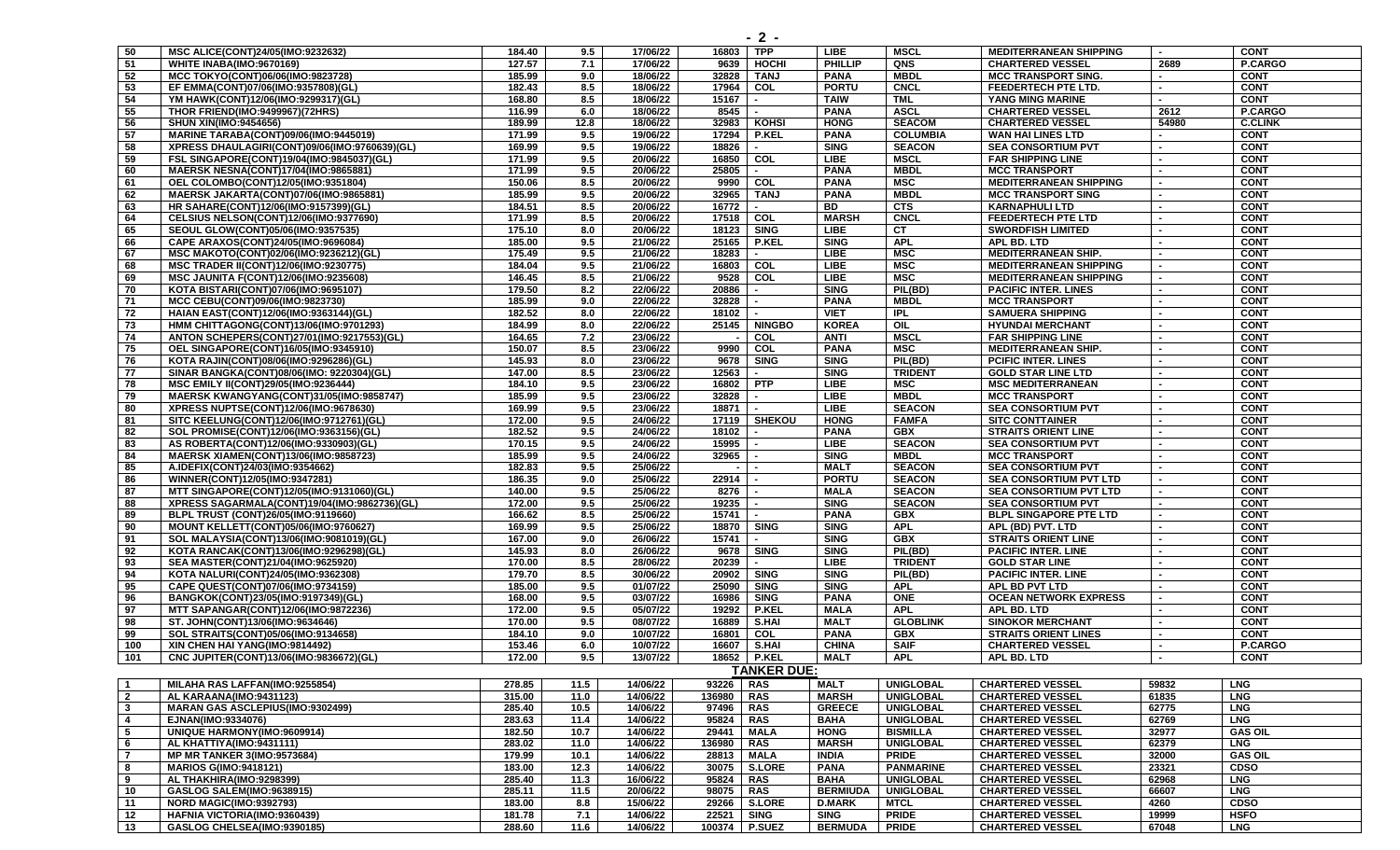| 50                      | MSC ALICE(CONT)24/05(IMO:9232632)             | 184.40 | 9.5  | 17/06/22 | 16803     | <b>TPP</b>               | <b>LIBE</b>     | <b>MSCL</b>      | <b>MEDITERRANEAN SHIPPING</b> |       | <b>CONT</b>    |
|-------------------------|-----------------------------------------------|--------|------|----------|-----------|--------------------------|-----------------|------------------|-------------------------------|-------|----------------|
| 51                      | WHITE INABA(IMO:9670169)                      | 127.57 | 7.1  | 17/06/22 | 9639      | HOCHI                    | <b>PHILLIP</b>  | QNS              | <b>CHARTERED VESSEL</b>       | 2689  | P.CARGO        |
| 52                      | MCC TOKYO(CONT)06/06(IMO:9823728)             | 185.99 | 9.0  | 18/06/22 | 32828     | <b>TANJ</b>              | <b>PANA</b>     | <b>MBDL</b>      | <b>MCC TRANSPORT SING.</b>    |       | <b>CONT</b>    |
| 53                      | EF EMMA(CONT)07/06(IMO:9357808)(GL)           | 182.43 | 8.5  | 18/06/22 | 17964     | COL                      | <b>PORTU</b>    | CNCL             | <b>FEEDERTECH PTE LTD.</b>    |       | <b>CONT</b>    |
| 54                      | YM HAWK(CONT)12/06(IMO:9299317)(GL)           | 168.80 | 8.5  | 18/06/22 | 15167     |                          | <b>TAIW</b>     | <b>TML</b>       | YANG MING MARINE              |       | <b>CONT</b>    |
| 55                      | <b>THOR FRIEND(IMO:9499967)(72HRS)</b>        | 116.99 | 6.0  | 18/06/22 | 8545      |                          | <b>PANA</b>     | <b>ASCL</b>      | <b>CHARTERED VESSEL</b>       | 2612  | P.CARGO        |
| 56                      | <b>SHUN XIN(IMO:9454656)</b>                  | 189.99 | 12.8 | 18/06/22 | 32983     | <b>KOHSI</b>             | <b>HONG</b>     | <b>SEACOM</b>    | <b>CHARTERED VESSEL</b>       | 54980 | <b>C.CLINK</b> |
| 57                      | MARINE TARABA(CONT)09/06(IMO:9445019)         | 171.99 | 9.5  | 19/06/22 | 17294     | <b>P.KEL</b>             | <b>PANA</b>     | <b>COLUMBIA</b>  | WAN HAI LINES LTD             |       | <b>CONT</b>    |
| 58                      |                                               | 169.99 | 9.5  | 19/06/22 | 18826     |                          | <b>SING</b>     | <b>SEACON</b>    |                               |       | <b>CONT</b>    |
|                         | XPRESS DHAULAGIRI(CONT)09/06(IMO:9760639)(GL) |        |      |          |           |                          |                 |                  | <b>SEA CONSORTIUM PVT</b>     |       |                |
| 59                      | FSL SINGAPORE(CONT)19/04(IMO:9845037)(GL)     | 171.99 | 9.5  | 20/06/22 | 16850     | COL                      | <b>LIBE</b>     | <b>MSCL</b>      | <b>FAR SHIPPING LINE</b>      |       | <b>CONT</b>    |
| 60                      | MAERSK NESNA(CONT)17/04(IMO:9865881)          | 171.99 | 9.5  | 20/06/22 | 25805     |                          | <b>PANA</b>     | <b>MBDL</b>      | <b>MCC TRANSPORT</b>          |       | <b>CONT</b>    |
| 61                      | OEL COLOMBO(CONT)12/05(IMO:9351804)           | 150.06 | 8.5  | 20/06/22 | 9990      | COL                      | <b>PANA</b>     | <b>MSC</b>       | <b>MEDITERRANEAN SHIPPING</b> |       | <b>CONT</b>    |
| 62                      | MAERSK JAKARTA(CONT)07/06(IMO:9865881)        | 185.99 | 9.5  | 20/06/22 | 32965     | TANJ                     | <b>PANA</b>     | <b>MBDL</b>      | <b>MCC TRANSPORT SING</b>     |       | <b>CONT</b>    |
| 63                      | HR SAHARE(CONT)12/06(IMO:9157399)(GL)         | 184.51 | 8.5  | 20/06/22 | 16772     | $\overline{\phantom{a}}$ | <b>BD</b>       | <b>CTS</b>       | <b>KARNAPHULI LTD</b>         |       | <b>CONT</b>    |
| 64                      | CELSIUS NELSON(CONT)12/06(IMO:9377690)        | 171.99 | 8.5  | 20/06/22 | 17518 COL |                          | <b>MARSH</b>    | CNCL             | FEEDERTECH PTE LTD            |       | <b>CONT</b>    |
| 65                      | SEOUL GLOW(CONT)05/06(IMO:9357535)            | 175.10 | 8.0  | 20/06/22 | 18123     | <b>SING</b>              | <b>LIBE</b>     | <b>CT</b>        | <b>SWORDFISH LIMITED</b>      |       | <b>CONT</b>    |
| 66                      | CAPE ARAXOS(CONT)24/05(IMO:9696084)           | 185.00 | 9.5  | 21/06/22 | 25165     | P.KEL                    | <b>SING</b>     | <b>APL</b>       | APL BD. LTD                   |       | <b>CONT</b>    |
| 67                      | MSC MAKOTO(CONT)02/06(IMO:9236212)(GL)        | 175.49 | 9.5  | 21/06/22 | 18283     | $\blacksquare$           | <b>LIBE</b>     | MSC              | <b>MEDITERRANEAN SHIP.</b>    |       | <b>CONT</b>    |
| 68                      | <b>MSC TRADER II(CONT)12/06(IMO:9230775)</b>  | 184.04 | 9.5  | 21/06/22 | 16803     | COL                      | <b>LIBE</b>     | <b>MSC</b>       | <b>MEDITERRANEAN SHIPPING</b> |       | <b>CONT</b>    |
| 69                      | MSC JAUNITA F(CONT)12/06(IMO:9235608)         | 146.45 | 8.5  | 21/06/22 | 9528      | COL                      | <b>LIBE</b>     | <b>MSC</b>       | <b>MEDITERRANEAN SHIPPING</b> |       | <b>CONT</b>    |
| 70                      | KOTA BISTARI(CONT)07/06(IMO:9695107)          | 179.50 | 8.2  | 22/06/22 | 20886     | $\blacksquare$           | <b>SING</b>     | PIL(BD)          | <b>PACIFIC INTER. LINES</b>   |       | <b>CONT</b>    |
| 71                      | MCC CEBU(CONT)09/06(IMO:9823730)              | 185.99 | 9.0  | 22/06/22 | 32828     |                          | <b>PANA</b>     | <b>MBDL</b>      | <b>MCC TRANSPORT</b>          |       | <b>CONT</b>    |
| 72                      | HAIAN EAST(CONT)12/06(IMO:9363144)(GL)        | 182.52 | 8.0  | 22/06/22 | 18102     |                          | <b>VIET</b>     | <b>IPL</b>       | <b>SAMUERA SHIPPING</b>       |       | <b>CONT</b>    |
| 73                      | HMM CHITTAGONG(CONT)13/06(IMO:9701293)        | 184.99 | 8.0  | 22/06/22 | 25145     | <b>NINGBO</b>            | <b>KOREA</b>    | OIL              | <b>HYUNDAI MERCHANT</b>       |       | <b>CONT</b>    |
| 74                      |                                               | 164.65 | 7.2  | 23/06/22 |           | COL                      | <b>ANTI</b>     | <b>MSCL</b>      | <b>FAR SHIPPING LINE</b>      |       | <b>CONT</b>    |
|                         | ANTON SCHEPERS(CONT)27/01(IMO:9217553)(GL)    |        |      |          |           |                          |                 | <b>MSC</b>       |                               |       |                |
| 75                      | OEL SINGAPORE(CONT)16/05(IMO:9345910)         | 150.07 | 8.5  | 23/06/22 | 9990      | COL                      | <b>PANA</b>     |                  | <b>MEDITERRANEAN SHIP.</b>    |       | <b>CONT</b>    |
| 76                      | KOTA RAJIN(CONT)08/06(IMO:9296286)(GL)        | 145.93 | 8.0  | 23/06/22 | 9678      | <b>SING</b>              | <b>SING</b>     | PIL(BD)          | <b>PCIFIC INTER. LINES</b>    |       | <b>CONT</b>    |
| 77                      | SINAR BANGKA(CONT)08/06(IMO: 9220304)(GL)     | 147.00 | 8.5  | 23/06/22 | 12563     |                          | <b>SING</b>     | <b>TRIDENT</b>   | <b>GOLD STAR LINE LTD</b>     |       | <b>CONT</b>    |
| 78                      | MSC EMILY II(CONT)29/05(IMO:9236444)          | 184.10 | 9.5  | 23/06/22 | 16802     | <b>PTP</b>               | <b>LIBE</b>     | <b>MSC</b>       | <b>MSC MEDITERRANEAN</b>      |       | <b>CONT</b>    |
| 79                      | MAERSK KWANGYANG(CONT)31/05(IMO:9858747)      | 185.99 | 9.5  | 23/06/22 | 32828     |                          | <b>LIBE</b>     | <b>MBDL</b>      | <b>MCC TRANSPORT</b>          |       | <b>CONT</b>    |
| 80                      | XPRESS NUPTSE(CONT)12/06(IMO:9678630)         | 169.99 | 9.5  | 23/06/22 | 18871     |                          | <b>LIBE</b>     | <b>SEACON</b>    | <b>SEA CONSORTIUM PVT</b>     |       | <b>CONT</b>    |
| 81                      | SITC KEELUNG(CONT)12/06(IMO:9712761)(GL)      | 172.00 | 9.5  | 24/06/22 |           | 17119   SHEKOU           | <b>HONG</b>     | <b>FAMFA</b>     | <b>SITC CONTTAINER</b>        |       | <b>CONT</b>    |
| 82                      | SOL PROMISE(CONT)12/06(IMO:9363156)(GL)       | 182.52 | 9.5  | 24/06/22 | 18102     |                          | <b>PANA</b>     | <b>GBX</b>       | <b>STRAITS ORIENT LINE</b>    |       | <b>CONT</b>    |
| 83                      | AS ROBERTA(CONT)12/06(IMO:9330903)(GL)        | 170.15 | 9.5  | 24/06/22 | 15995     |                          | <b>LIBE</b>     | <b>SEACON</b>    | <b>SEA CONSORTIUM PVT</b>     |       | <b>CONT</b>    |
| 84                      | MAERSK XIAMEN(CONT)13/06(IMO:9858723)         | 185.99 | 9.5  | 24/06/22 | 32965     |                          | <b>SING</b>     | <b>MBDL</b>      | <b>MCC TRANSPORT</b>          |       | <b>CONT</b>    |
| 85                      | A.IDEFIX(CONT)24/03(IMO:9354662)              | 182.83 | 9.5  | 25/06/22 |           |                          | <b>MALT</b>     | <b>SEACON</b>    | <b>SEA CONSORTIUM PVT</b>     |       | <b>CONT</b>    |
| 86                      | WINNER(CONT)12/05(IMO:9347281)                | 186.35 | 9.0  | 25/06/22 | 22914     |                          | <b>PORTU</b>    | <b>SEACON</b>    | <b>SEA CONSORTIUM PVT LTD</b> |       | <b>CONT</b>    |
| 87                      | MTT SINGAPORE(CONT)12/05(IMO:9131060)(GL)     | 140.00 | 9.5  | 25/06/22 | 8276      |                          | <b>MALA</b>     | <b>SEACON</b>    | <b>SEA CONSORTIUM PVT LTD</b> |       | <b>CONT</b>    |
| $\overline{88}$         | XPRESS SAGARMALA(CONT)19/04(IMO:9862736)(GL)  | 172.00 | 9.5  | 25/06/22 | 19235     |                          | <b>SING</b>     | <b>SEACON</b>    | <b>SEA CONSORTIUM PVT</b>     |       | <b>CONT</b>    |
| 89                      | BLPL TRUST (CONT)26/05(IMO:9119660)           | 166.62 | 8.5  | 25/06/22 | 15741     |                          | <b>PANA</b>     | <b>GBX</b>       | <b>BLPL SINGAPORE PTE LTD</b> |       | <b>CONT</b>    |
|                         | MOUNT KELLETT(CONT)05/06(IMO:9760627)         |        |      |          |           | <b>SING</b>              | <b>SING</b>     | <b>APL</b>       |                               |       |                |
| 90                      |                                               | 169.99 | 9.5  | 25/06/22 | 18870     |                          |                 |                  | APL (BD) PVT. LTD             |       | <b>CONT</b>    |
| 91                      | SOL MALAYSIA(CONT)13/06(IMO:9081019)(GL)      | 167.00 | 9.0  | 26/06/22 | 15741     |                          | <b>SING</b>     | <b>GBX</b>       | <b>STRAITS ORIENT LINE</b>    |       | <b>CONT</b>    |
| 92                      | KOTA RANCAK(CONT)13/06(IMO:9296298)(GL)       | 145.93 | 8.0  | 26/06/22 | 9678      | <b>SING</b>              | <b>SING</b>     | PIL(BD)          | <b>PACIFIC INTER. LINE</b>    |       | <b>CONT</b>    |
| 93                      | SEA MASTER(CONT)21/04(IMO:9625920)            | 170.00 | 8.5  | 28/06/22 | 20239     |                          | <b>LIBE</b>     | <b>TRIDENT</b>   | <b>GOLD STAR LINE</b>         |       | <b>CONT</b>    |
| 94                      | KOTA NALURI(CONT)24/05(IMO:9362308)           | 179.70 | 8.5  | 30/06/22 | 20902     | <b>SING</b>              | <b>SING</b>     | PIL(BD)          | <b>PACIFIC INTER. LINE</b>    |       | <b>CONT</b>    |
| 95                      | CAPE QUEST(CONT)07/06(IMO:9734159)            | 185.00 | 9.5  | 01/07/22 | 25090     | <b>SING</b>              | <b>SING</b>     | <b>APL</b>       | APL BD PVT LTD                |       | <b>CONT</b>    |
| 96                      | BANGKOK(CONT)23/05(IMO:9197349)(GL)           | 168.00 | 9.5  | 03/07/22 | 16986     | <b>SING</b>              | <b>PANA</b>     | <b>ONE</b>       | <b>OCEAN NETWORK EXPRESS</b>  |       | <b>CONT</b>    |
| 97                      | MTT SAPANGAR(CONT)12/06(IMO:9872236)          | 172.00 | 9.5  | 05/07/22 | 19292     | <b>P.KEL</b>             | <b>MALA</b>     | <b>APL</b>       | APL BD. LTD                   |       | <b>CONT</b>    |
| 98                      | ST. JOHN(CONT)13/06(IMO:9634646)              | 170.00 | 9.5  | 08/07/22 | 16889     | S.HAI                    | <b>MALT</b>     | <b>GLOBLINK</b>  | <b>SINOKOR MERCHANT</b>       |       | <b>CONT</b>    |
| 99                      | SOL STRAITS(CONT)05/06(IMO:9134658)           | 184.10 | 9.0  | 10/07/22 | 16801     | COL                      | <b>PANA</b>     | <b>GBX</b>       | <b>STRAITS ORIENT LINES</b>   |       | <b>CONT</b>    |
| 100                     | XIN CHEN HAI YANG(IMO:9814492)                | 153.46 | 6.0  | 10/07/22 | 16607     | S.HAI                    | <b>CHINA</b>    | <b>SAIF</b>      | <b>CHARTERED VESSEL</b>       |       | P.CARGO        |
| 101                     | CNC JUPITER(CONT)13/06(IMO:9836672)(GL)       | 172.00 | 9.5  | 13/07/22 | 18652     | <b>P.KEL</b>             | <b>MALT</b>     | <b>APL</b>       | APL BD. LTD                   |       | <b>CONT</b>    |
|                         |                                               |        |      |          |           | TANKER DUE:              |                 |                  |                               |       |                |
| $\overline{\mathbf{1}}$ |                                               |        |      |          |           |                          |                 |                  |                               |       |                |
|                         | MILAHA RAS LAFFAN(IMO:9255854)                | 278.85 | 11.5 | 14/06/22 | 93226     | RAS                      | <b>MALT</b>     | <b>UNIGLOBAL</b> | <b>CHARTERED VESSEL</b>       | 59832 | <b>LNG</b>     |
| $\overline{2}$          | AL KARAANA(IMO:9431123)                       | 315.00 | 11.0 | 14/06/22 | 136980    | RAS                      | <b>MARSH</b>    | <b>UNIGLOBAL</b> | <b>CHARTERED VESSEL</b>       | 61835 | <b>LNG</b>     |
| $\overline{\mathbf{3}}$ | <b>MARAN GAS ASCLEPIUS(IMO:9302499)</b>       | 285.40 | 10.5 | 14/06/22 | 97496     | <b>RAS</b>               | <b>GREECE</b>   | <b>UNIGLOBAL</b> | <b>CHARTERED VESSEL</b>       | 62775 | <b>LNG</b>     |
| $\overline{4}$          | EJNAN(IMO:9334076)                            | 283.63 | 11.4 | 14/06/22 | 95824     | <b>RAS</b>               | <b>BAHA</b>     | <b>UNIGLOBAL</b> | <b>CHARTERED VESSEL</b>       | 62769 | <b>LNG</b>     |
| 5                       | UNIQUE HARMONY(IMO:9609914)                   | 182.50 | 10.7 | 14/06/22 | 29441     | <b>MALA</b>              | <b>HONG</b>     | <b>BISMILLA</b>  | <b>CHARTERED VESSEL</b>       | 32977 | <b>GAS OIL</b> |
| 6                       | AL KHATTIYA(IMO:9431111)                      | 283.02 | 11.0 | 14/06/22 | 136980    | <b>RAS</b>               | <b>MARSH</b>    | <b>UNIGLOBAL</b> | <b>CHARTERED VESSEL</b>       | 62379 | <b>LNG</b>     |
| $\overline{7}$          | <b>MP MR TANKER 3(IMO:9573684)</b>            | 179.99 | 10.1 | 14/06/22 | 28813     | MALA                     | <b>INDIA</b>    | <b>PRIDE</b>     | <b>CHARTERED VESSEL</b>       | 32000 | <b>GAS OIL</b> |
| 8                       | <b>MARIOS G(IMO:9418121)</b>                  | 183.00 | 12.3 | 14/06/22 | 30075     | S.LORE                   | <b>PANA</b>     | <b>PANMARINE</b> | <b>CHARTERED VESSEL</b>       | 23321 | <b>CDSO</b>    |
| 9                       | AL THAKHIRA(IMO:9298399)                      | 285.40 | 11.3 | 16/06/22 | 95824     | <b>RAS</b>               | <b>BAHA</b>     | <b>UNIGLOBAL</b> | <b>CHARTERED VESSEL</b>       | 62968 | <b>LNG</b>     |
| 10                      | <b>GASLOG SALEM(IMO:9638915)</b>              | 285.11 | 11.5 | 20/06/22 | 98075     | <b>RAS</b>               | <b>BERMIUDA</b> | <b>UNIGLOBAL</b> | <b>CHARTERED VESSEL</b>       | 66607 | <b>LNG</b>     |
| 11                      | <b>NORD MAGIC(IMO:9392793)</b>                | 183.00 | 8.8  | 15/06/22 | 29266     | <b>S.LORE</b>            | <b>D.MARK</b>   | <b>MTCL</b>      | <b>CHARTERED VESSEL</b>       | 4260  | <b>CDSO</b>    |
| 12                      | <b>HAFNIA VICTORIA(IMO:9360439)</b>           | 181.78 | 7.1  | 14/06/22 | 22521     | <b>SING</b>              | <b>SING</b>     | <b>PRIDE</b>     | <b>CHARTERED VESSEL</b>       | 19999 | <b>HSFO</b>    |
| 13                      | GASLOG CHELSEA(IMO:9390185)                   | 288.60 | 11.6 | 14/06/22 | 100374    | <b>P.SUEZ</b>            | <b>BERMUDA</b>  | <b>PRIDE</b>     | <b>CHARTERED VESSEL</b>       | 67048 | <b>LNG</b>     |
|                         |                                               |        |      |          |           |                          |                 |                  |                               |       |                |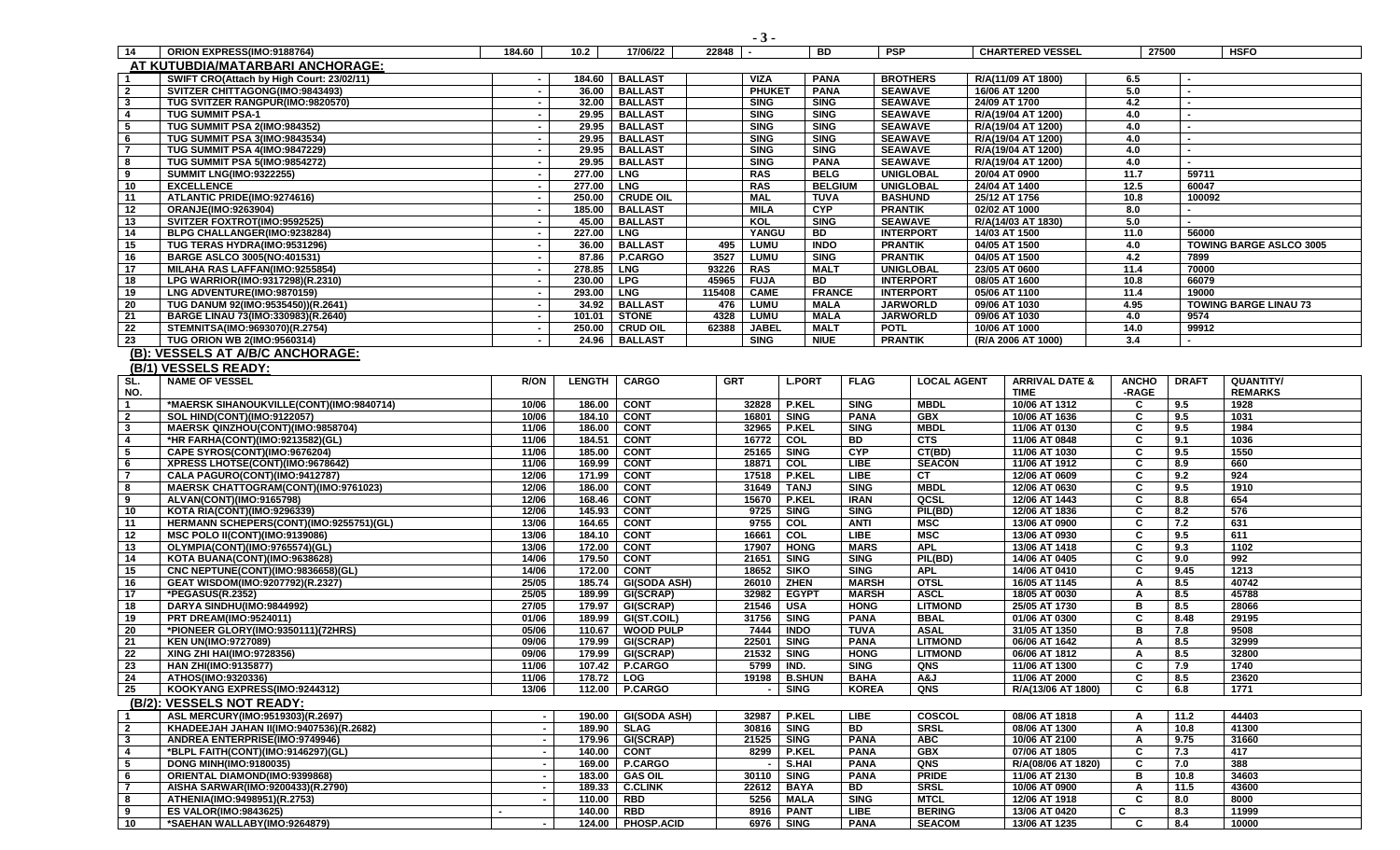|                         |                                           |                          |                   |                            | $-3-$                               |                              |                                  |                    |                                          |                                |              |                |                                |
|-------------------------|-------------------------------------------|--------------------------|-------------------|----------------------------|-------------------------------------|------------------------------|----------------------------------|--------------------|------------------------------------------|--------------------------------|--------------|----------------|--------------------------------|
| - 14                    | ORION EXPRESS(IMO:9188764)                | 184.60                   | 10.2 <sub>1</sub> | 17/06/22                   | 22848                               | <b>BD</b>                    | <b>PSP</b>                       |                    | <b>CHARTERED VESSEL</b>                  |                                | 27500        |                | <b>HSFO</b>                    |
|                         | AT KUTUBDIA/MATARBARI ANCHORAGE:          |                          |                   |                            |                                     |                              |                                  |                    |                                          |                                |              |                |                                |
| $\overline{1}$          | SWIFT CRO(Attach by High Court: 23/02/11) |                          | 184.60            | <b>BALLAST</b>             | <b>VIZA</b>                         | <b>PANA</b>                  |                                  | <b>BROTHERS</b>    | R/A(11/09 AT 1800)                       |                                | 6.5          |                |                                |
| $\overline{2}$          | SVITZER CHITTAGONG(IMO:9843493)           | $\sim$                   | 36.00             | <b>BALLAST</b>             | <b>PHUKET</b>                       | <b>PANA</b>                  | <b>SEAWAVE</b>                   |                    | 16/06 AT 1200                            |                                | 5.0          | $\overline{a}$ |                                |
| $\overline{\mathbf{3}}$ | TUG SVITZER RANGPUR(IMO:9820570)          | $\sim$                   | 32.00             | <b>BALLAST</b>             | <b>SING</b>                         | <b>SING</b>                  | <b>SEAWAVE</b>                   |                    | 24/09 AT 1700                            |                                | 4.2          | $\blacksquare$ |                                |
| $\overline{4}$          | <b>TUG SUMMIT PSA-1</b>                   | $\sim$                   | 29.95             | <b>BALLAST</b>             | <b>SING</b>                         | <b>SING</b>                  | <b>SEAWAVE</b>                   |                    | R/A(19/04 AT 1200)                       |                                | 4.0          |                |                                |
| 5                       | TUG SUMMIT PSA 2(IMO:984352)              | $\sim$                   | 29.95             | <b>BALLAST</b>             | <b>SING</b>                         | <b>SING</b>                  | <b>SEAWAVE</b>                   |                    | R/A(19/04 AT 1200)                       |                                | 4.0          | ٠              |                                |
|                         |                                           |                          | 29.95             | <b>BALLAST</b>             |                                     |                              |                                  |                    |                                          |                                |              |                |                                |
| 6<br>$\overline{7}$     | <b>TUG SUMMIT PSA 3(IMO:9843534)</b>      | $\sim$                   |                   | <b>BALLAST</b>             | <b>SING</b>                         | <b>SING</b>                  | <b>SEAWAVE</b>                   |                    | R/A(19/04 AT 1200)<br>R/A(19/04 AT 1200) |                                | 4.0          |                |                                |
|                         | <b>TUG SUMMIT PSA 4(IMO:9847229)</b>      |                          | 29.95             |                            | <b>SING</b><br><b>SING</b>          | <b>SING</b>                  | <b>SEAWAVE</b><br><b>SEAWAVE</b> |                    |                                          |                                | 4.0          |                |                                |
| 8                       | TUG SUMMIT PSA 5(IMO:9854272)             |                          | 29.95             | <b>BALLAST</b>             |                                     | <b>PANA</b>                  |                                  |                    | R/A(19/04 AT 1200)                       |                                | 4.0          |                |                                |
| 9                       | <b>SUMMIT LNG(IMO:9322255)</b>            | $\overline{\phantom{a}}$ | 277.00            | <b>LNG</b>                 | <b>RAS</b>                          | <b>BELG</b>                  |                                  | <b>UNIGLOBAL</b>   | 20/04 AT 0900                            |                                | 11.7         | 59711          |                                |
| 10                      | <b>EXCELLENCE</b>                         | $\sim$                   | 277.00            | <b>LNG</b>                 | <b>RAS</b>                          | <b>BELGIUM</b>               | <b>UNIGLOBAL</b>                 |                    | 24/04 AT 1400                            |                                | 12.5         | 60047          |                                |
| 11                      | ATLANTIC PRIDE(IMO:9274616)               | $\sim$                   | 250.00            | <b>CRUDE OIL</b>           | <b>MAL</b>                          | <b>TUVA</b>                  | <b>BASHUND</b>                   |                    | 25/12 AT 1756                            |                                | 10.8         | 100092         |                                |
| 12                      | <b>ORANJE(IMO:9263904)</b>                | $\sim$                   | 185.00            | <b>BALLAST</b>             | <b>MILA</b>                         | <b>CYP</b>                   | <b>PRANTIK</b>                   |                    | 02/02 AT 1000                            |                                | 8.0          | ۰.             |                                |
| 13                      | SVITZER FOXTROT(IMO:9592525)              | $\sim$                   | 45.00             | <b>BALLAST</b>             | KOL                                 | <b>SING</b>                  | <b>SEAWAVE</b>                   |                    | R/A(14/03 AT 1830)                       |                                | 5.0          |                |                                |
| 14                      | BLPG CHALLANGER(IMO:9238284)              | $\sim$                   | 227.00            | <b>LNG</b>                 | YANGU                               | BD                           |                                  | <b>INTERPORT</b>   | 14/03 AT 1500                            |                                | 11.0         | 56000          |                                |
| 15                      | TUG TERAS HYDRA(IMO:9531296)              |                          | 36.00             | <b>BALLAST</b>             | <b>LUMU</b><br>495                  | <b>INDO</b>                  | <b>PRANTIK</b>                   |                    | 04/05 AT 1500                            |                                | 4.0          |                | <b>TOWING BARGE ASLCO 3005</b> |
| 16                      | <b>BARGE ASLCO 3005(NO:401531)</b>        | $\sim$                   | 87.86             | P.CARGO                    | 3527<br>LUMU                        | <b>SING</b>                  | <b>PRANTIK</b>                   |                    | 04/05 AT 1500                            |                                | 4.2          | 7899           |                                |
| 17                      | MILAHA RAS LAFFAN(IMO:9255854)            | $\sim$                   | 278.85            | <b>LNG</b>                 | <b>RAS</b><br>93226                 | <b>MALT</b>                  |                                  | <b>UNIGLOBAL</b>   | 23/05 AT 0600                            |                                | 11.4         | 70000          |                                |
| 18                      | LPG WARRIOR(IMO:9317298)(R.2310)          | $\sim$                   | 230.00            | <b>LPG</b>                 | 45965<br><b>FUJA</b>                | BD                           |                                  | <b>INTERPORT</b>   | 08/05 AT 1600                            |                                | 10.8         | 66079          |                                |
| 19                      | LNG ADVENTURE(IMO:9870159)                | $\sim$                   | 293.00            | <b>LNG</b>                 | 115408<br><b>CAME</b>               | <b>FRANCE</b>                | <b>INTERPORT</b>                 |                    | 05/06 AT 1100                            |                                | 11.4         | 19000          |                                |
| 20                      | TUG DANUM 92(IMO:9535450))(R.2641)        | $\sim$                   | 34.92             | <b>BALLAST</b>             | 476<br>LUMU                         | <b>MALA</b>                  |                                  | <b>JARWORLD</b>    | 09/06 AT 1030                            |                                | 4.95         |                | <b>TOWING BARGE LINAU 73</b>   |
| 21                      | BARGE LINAU 73(IMO:330983)(R.2640)        |                          | 101.01            | <b>STONE</b>               | 4328<br><b>LUMU</b>                 | <b>MALA</b>                  |                                  | <b>JARWORLD</b>    | 09/06 AT 1030                            |                                | 4.0          | 9574           |                                |
| 22                      | STEMNITSA(IMO:9693070)(R.2754)            | $\blacksquare$           | 250.00            | <b>CRUD OIL</b>            | 62388<br><b>JABEL</b>               | <b>MALT</b>                  | <b>POTL</b>                      |                    | 10/06 AT 1000                            |                                | 14.0         | 99912          |                                |
| 23                      | TUG ORION WB 2(IMO:9560314)               |                          | 24.96             | <b>BALLAST</b>             | <b>SING</b>                         | <b>NIUE</b>                  | <b>PRANTIK</b>                   |                    | (R/A 2006 AT 1000)                       |                                | 3.4          | $\blacksquare$ |                                |
|                         | (B): VESSELS AT A/B/C ANCHORAGE:          |                          |                   |                            |                                     |                              |                                  |                    |                                          |                                |              |                |                                |
|                         | (B/1) VESSELS READY:                      |                          |                   |                            |                                     |                              |                                  |                    |                                          |                                |              |                |                                |
| SL.                     | <b>NAME OF VESSEL</b>                     | <b>R/ON</b>              | <b>LENGTH</b>     | <b>CARGO</b>               | <b>GRT</b>                          | <b>L.PORT</b><br><b>FLAG</b> |                                  | <b>LOCAL AGENT</b> |                                          | <b>ARRIVAL DATE &amp;</b>      | <b>ANCHO</b> | <b>DRAFT</b>   | <b>QUANTITY/</b>               |
| NO.                     |                                           |                          |                   |                            |                                     |                              |                                  |                    | <b>TIME</b>                              |                                | -RAGE        |                | <b>REMARKS</b>                 |
| $\mathbf{1}$            | *MAERSK SIHANOUKVILLE(CONT)(IMO:9840714)  | 10/06                    | 186.00            | <b>CONT</b>                | 32828<br><b>P.KEL</b>               | <b>SING</b>                  |                                  | <b>MBDL</b>        |                                          | 10/06 AT 1312                  | C            | 9.5            | 1928                           |
| $\overline{2}$          | <b>SOL HIND(CONT)(IMO:9122057)</b>        | 10/06                    | 184.10            | <b>CONT</b>                | 16801<br><b>SING</b>                | <b>PANA</b>                  |                                  | <b>GBX</b>         |                                          | 10/06 AT 1636                  | C            | 9.5            | 1031                           |
| $\overline{\mathbf{a}}$ | MAERSK QINZHOU(CONT)(IMO:9858704)         | 11/06                    | 186.00            | <b>CONT</b>                | 32965<br><b>P.KEL</b>               | <b>SING</b>                  |                                  | <b>MBDL</b>        |                                          | 11/06 AT 0130                  | C            | 9.5            | 1984                           |
| $\overline{4}$          | *HR FARHA(CONT)(IMO:9213582)(GL)          | 11/06                    | 184.51            | <b>CONT</b>                | 16772<br><b>COL</b>                 | BD                           |                                  | <b>CTS</b>         |                                          | 11/06 AT 0848                  | C            | 9.1            | 1036                           |
| 5                       |                                           | 11/06                    | 185.00            | <b>CONT</b>                | 25165<br><b>SING</b>                | <b>CYP</b>                   |                                  | CT(BD)             |                                          |                                | C            | 9.5            | 1550                           |
|                         | CAPE SYROS(CONT)(IMO:9676204)             |                          | 169.99            |                            | 18871                               | <b>LIBE</b>                  |                                  | <b>SEACON</b>      |                                          | 11/06 AT 1030                  | C            |                | 660                            |
| 6<br>$\overline{7}$     | XPRESS LHOTSE(CONT)(IMO:9678642)          | 11/06<br>12/06           | 171.99            | <b>CONT</b><br><b>CONT</b> | <b>COL</b><br>17518<br><b>P.KEL</b> | LIBE                         |                                  | СT                 |                                          | 11/06 AT 1912<br>12/06 AT 0609 | C            | 8.9<br>9.2     | 924                            |
|                         | CALA PAGURO(CONT)(IMO:9412787)            |                          | 186.00            | <b>CONT</b>                | 31649<br><b>TANJ</b>                | <b>SING</b>                  |                                  | <b>MBDL</b>        |                                          | 12/06 AT 0630                  | C            | 9.5            | 1910                           |
| 8                       | MAERSK CHATTOGRAM(CONT)(IMO:9761023)      | 12/06                    | 168.46            |                            |                                     |                              |                                  |                    |                                          |                                |              |                |                                |
| 9                       | ALVAN(CONT)(IMO:9165798)                  | 12/06                    |                   | <b>CONT</b>                | <b>P.KEL</b><br>15670               | <b>IRAN</b>                  |                                  | QCSL               |                                          | 12/06 AT 1443                  | C            | 8.8            | 654                            |
| 10                      | <b>KOTA RIA(CONT)(IMO:9296339)</b>        | 12/06                    | 145.93            | <b>CONT</b>                | 9725<br><b>SING</b>                 | <b>SING</b>                  |                                  | PIL(BD)            |                                          | 12/06 AT 1836                  | C            | 8.2            | 576                            |
| 11                      | HERMANN SCHEPERS(CONT)(IMO:9255751)(GL)   | 13/06                    | 164.65            | <b>CONT</b>                | 9755<br><b>COL</b>                  | <b>ANTI</b>                  |                                  | MSC                |                                          | 13/06 AT 0900                  | C            | 7.2            | 631                            |
| 12                      | <b>MSC POLO II(CONT)(IMO:9139086)</b>     | 13/06                    | 184.10            | <b>CONT</b>                | 16661<br><b>COL</b>                 | LIBE                         |                                  | MSC                |                                          | 13/06 AT 0930                  | C            | 9.5            | 611                            |
| 13                      | OLYMPIA(CONT)(IMO:9765574)(GL)            | 13/06                    | 172.00 CONT       |                            | 17907<br><b>HONG</b>                | <b>MARS</b>                  |                                  | <b>APL</b>         |                                          | 13/06 AT 1418                  | C            | 9.3            | 1102                           |
| 14                      | KOTA BUANA(CONT)(IMO:9638628)             | 14/06                    | 179.50            | <b>CONT</b>                | <b>SING</b><br>21651                | <b>SING</b>                  |                                  | PIL(BD)            |                                          | 14/06 AT 0405                  | C            | 9.0            | 992                            |
| 15                      | CNC NEPTUNE(CONT)(IMO:9836658)(GL)        | 14/06                    | 172.00            | <b>CONT</b>                | 18652<br><b>SIKO</b>                | <b>SING</b>                  |                                  | <b>APL</b>         |                                          | 14/06 AT 0410                  | C            | 9.45           | 1213                           |
| 16                      | GEAT WISDOM(IMO:9207792)(R.2327)          | 25/05                    | 185.74            | GI(SODA ASH)               | 26010<br><b>ZHEN</b>                | <b>MARSH</b>                 |                                  | <b>OTSL</b>        |                                          | 16/05 AT 1145                  | $\mathbf{A}$ | 8.5            | 40742                          |
| $\overline{17}$         | *PEGASUS(R.2352)                          | 25/05                    |                   | 189.99 GI(SCRAP)           | 32982<br><b>EGYPT</b>               | <b>MARSH</b>                 |                                  | <b>ASCL</b>        |                                          | 18/05 AT 0030                  | A            | 8.5            | 45788                          |
| 18                      | DARYA SINDHU(IMO:9844992)                 | 27/05                    | 179.97            | GI(SCRAP)                  | 21546<br><b>USA</b>                 | <b>HONG</b>                  |                                  | <b>LITMOND</b>     |                                          | 25/05 AT 1730                  | в            | 8.5            | 28066                          |
| 19                      | <b>PRT DREAM(IMO:9524011)</b>             | 01/06                    |                   | 189.99   GI(ST.COIL)       | 31756<br><b>SING</b>                | <b>PANA</b>                  |                                  | <b>BBAL</b>        |                                          | 01/06 AT 0300                  | C            | 8.48           | 29195                          |
| 20                      | *PIONEER GLORY(IMO:9350111)(72HRS)        | 05/06                    |                   | 110.67 WOOD PULP           | 7444<br><b>INDO</b>                 | <b>TUVA</b>                  |                                  | <b>ASAL</b>        |                                          | 31/05 AT 1350                  | в            | 7.8            | 9508                           |
| 21                      | <b>KEN UN(IMO:9727089)</b>                | 09/06                    |                   | 179.99 GI(SCRAP)           | 22501<br><b>SING</b>                | <b>PANA</b>                  |                                  | <b>LITMOND</b>     |                                          | 06/06 AT 1642                  | A            | 8.5            | 32999                          |
| 22                      | XING ZHI HAI(IMO:9728356)                 | 09/06                    |                   | 179.99 GI(SCRAP)           | 21532<br><b>SING</b>                | <b>HONG</b>                  |                                  | <b>LITMOND</b>     |                                          | 06/06 AT 1812                  | $\mathbf{A}$ | 8.5            | 32800                          |
| 23                      | <b>HAN ZHI(IMO:9135877)</b>               | 11/06                    |                   | 107.42   P.CARGO           | 5799<br>IND.                        | <b>SING</b>                  |                                  | QNS                |                                          | 11/06 AT 1300                  | C            | 7.9            | 1740                           |
| 24                      | ATHOS(IMO:9320336)                        | 11/06                    | 178.72 LOG        |                            | 19198                               | <b>B.SHUN</b><br><b>BAHA</b> |                                  | A&J                |                                          | 11/06 AT 2000                  | C            | 8.5            | 23620                          |
| 25                      | KOOKYANG EXPRESS(IMO:9244312)             | 13/06                    |                   | 112.00 P.CARGO             | <b>SING</b>                         | <b>KOREA</b>                 |                                  | QNS                |                                          | R/A(13/06 AT 1800)             | C            | 6.8            | 1771                           |
|                         | (B/2): VESSELS NOT READY:                 |                          |                   |                            |                                     |                              |                                  |                    |                                          |                                |              |                |                                |
| $\mathbf 1$             | ASL MERCURY(IMO:9519303)(R.2697)          |                          | $190.00$          | GI(SODA ASH)               | 32987<br><b>P.KEL</b>               | <b>LIBE</b>                  |                                  | COSCOL             |                                          | 08/06 AT 1818                  | A            | 11.2           | 44403                          |
| $\overline{\mathbf{2}}$ | KHADEEJAH JAHAN II(IMO:9407536)(R.2682)   |                          | 189.90   SLAG     |                            | 30816<br><b>SING</b>                | BD                           |                                  | <b>SRSL</b>        |                                          | 08/06 AT 1300                  | A            | 10.8           | 41300                          |
| $\overline{\mathbf{3}}$ | ANDREA ENTERPRISE(IMO:9749946)            | $\overline{\phantom{a}}$ |                   | 179.96 GI(SCRAP)           | 21525<br><b>SING</b>                | <b>PANA</b>                  |                                  | <b>ABC</b>         |                                          | 10/06 AT 2100                  | A            | 9.75           | 31660                          |
| $\overline{4}$          | *BLPL FAITH(CONT)(IMO:9146297)(GL)        |                          |                   | 140.00 CONT                | 8299<br><b>P.KEL</b>                | <b>PANA</b>                  |                                  | <b>GBX</b>         |                                          | 07/06 AT 1805                  | C            | 7.3            | 417                            |
| 5                       | <b>DONG MINH(IMO:9180035)</b>             | ь.                       |                   | 169.00   P.CARGO           | S.HAI                               | <b>PANA</b>                  |                                  | QNS                |                                          | R/A(08/06 AT 1820)             | C            | 7.0            | 388                            |
| 6                       | ORIENTAL DIAMOND(IMO:9399868)             |                          |                   | 183.00 GAS OIL             | <b>SING</b><br>30110                | <b>PANA</b>                  |                                  | <b>PRIDE</b>       |                                          | 11/06 AT 2130                  | в            | 10.8           | 34603                          |
| $\overline{7}$          | AISHA SARWAR(IMO:9200433)(R.2790)         |                          |                   | 189.33   C.CLINK           | <b>BAYA</b><br>22612                | BD                           |                                  | <b>SRSL</b>        |                                          | 10/06 AT 0900                  | A            | 11.5           | 43600                          |
| 8                       | ATHENIA(IMO:9498951)(R.2753)              |                          | 110.00 RBD        |                            | 5256<br><b>MALA</b>                 | <b>SING</b>                  |                                  | <b>MTCL</b>        |                                          | 12/06 AT 1918                  | C            | 8.0            | 8000                           |
| $\overline{\mathbf{9}}$ | <b>ES VALOR(IMO:9843625)</b>              |                          | 140.00 RBD        |                            | 8916<br><b>PANT</b>                 | LIBE                         |                                  | <b>BERING</b>      |                                          | 13/06 AT 0420                  | C            | 8.3            | 11999                          |
| 10                      | *SAEHAN WALLABY(IMO:9264879)              |                          |                   | 124.00 PHOSP.ACID          | <b>SING</b><br>6976                 | <b>PANA</b>                  |                                  | <b>SEACOM</b>      |                                          | 13/06 AT 1235                  | C            | 8.4            | 10000                          |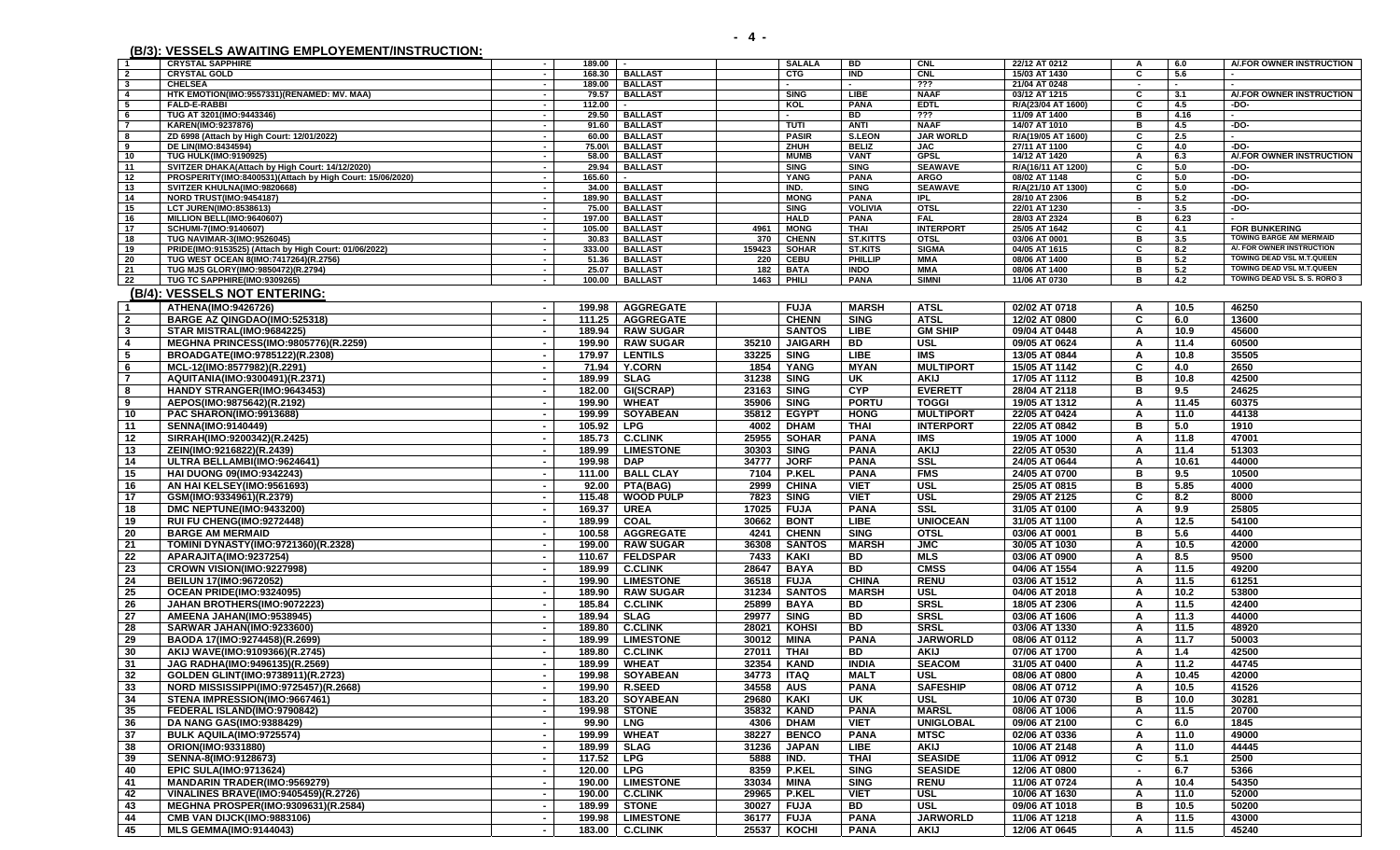|                         | $1000$ . Teodelo antal into emil ed i emertinto into thom. |                          |            |                    |            |                |                 |                  |                    |                          |        |                                |
|-------------------------|------------------------------------------------------------|--------------------------|------------|--------------------|------------|----------------|-----------------|------------------|--------------------|--------------------------|--------|--------------------------------|
| $\overline{\mathbf{1}}$ | <b>CRYSTAL SAPPHIRE</b>                                    | $\sim$                   | $189.00$ - |                    |            | <b>SALALA</b>  | BD              | CNL              | 22/12 AT 0212      | A                        | 6.0    | A/.FOR OWNER INSTRUCTION       |
| $\overline{2}$          | <b>CRYSTAL GOLD</b>                                        |                          |            | 168.30   BALLAST   |            | <b>CTG</b>     | IND             | <b>CNL</b>       | 15/03 AT 1430      | C                        | 5.6    |                                |
| $\mathbf{3}$            | <b>CHELSEA</b>                                             | $\sim$                   |            | 189.00 BALLAST     |            | $\sim$         | $\sim$          | ???              | 21/04 AT 0248      | $\overline{\phantom{a}}$ | $\sim$ |                                |
| $\overline{4}$          | HTK EMOTION(IMO:9557331)(RENAMED: MV. MAA)                 |                          |            | 79.57 BALLAST      |            | <b>SING</b>    | <b>LIBE</b>     | <b>NAAF</b>      | 03/12 AT 1215      | C                        | 3.1    | A/.FOR OWNER INSTRUCTION       |
| - 5                     | <b>FALD-E-RABBI</b>                                        | $\sim$                   | 112.00     | $\sim$             |            | KOL            | <b>PANA</b>     | <b>EDTL</b>      | R/A(23/04 AT 1600) | C                        | 4.5    | -DO-                           |
| - 6                     | TUG AT 3201(IMO:9443346)                                   | $\sim$                   |            | 29.50 BALLAST      |            | $\sim$         | <b>BD</b>       | $\overline{??}$  | 11/09 AT 1400      | B                        | 4.16   |                                |
| $\overline{7}$          | <b>KAREN(IMO:9237876)</b>                                  | $\sim$                   |            | 91.60 BALLAST      |            | TUTI           | ANTI            | <b>NAAF</b>      | 14/07 AT 1010      | в                        | 4.5    | -DO-                           |
| - 8                     | ZD 6998 (Attach by High Court: 12/01/2022)                 |                          |            | 60.00 BALLAST      |            | <b>PASIR</b>   | S.LEON          | <b>JAR WORLD</b> | R/A(19/05 AT 1600) | C                        | 2.5    |                                |
| 9                       | DE LIN(IMO:8434594)                                        |                          | 75.00\     | <b>BALLAST</b>     |            | ZHUH           | <b>BELIZ</b>    | <b>JAC</b>       | 27/11 AT 1100      | C                        | 4.0    | $-DO-$                         |
| 10                      | <b>TUG HULK(IMO:9190925)</b>                               |                          |            | 58.00 BALLAST      |            | <b>MUMB</b>    | <b>VANT</b>     | <b>GPSL</b>      | 14/12 AT 1420      | A                        | 6.3    | A/.FOR OWNER INSTRUCTION       |
| 11                      | SVITZER DHAKA(Attach by High Court: 14/12/2020)            | $\sim$                   | 29.94      | <b>BALLAST</b>     |            | <b>SING</b>    | <b>SING</b>     | <b>SEAWAVE</b>   | R/A(16/11 AT 1200) | C                        | 5.0    | $-DO-$                         |
| - 12                    | PROSPERITY(IMO:8400531)(Attach by High Court: 15/06/2020)  |                          | 165.60     |                    |            | YANG           | <b>PANA</b>     | <b>ARGO</b>      | 08/02 AT 1148      | C                        | 5.0    | -DO-                           |
| - 13                    | SVITZER KHULNA(IMO:9820668)                                |                          | 34.00      | <b>BALLAST</b>     |            | IND.           | <b>SING</b>     | <b>SEAWAVE</b>   | R/A(21/10 AT 1300) | C                        | 5.0    | -DO-                           |
| - 14                    | NORD TRUST(IMO:9454187)                                    | $\sim$                   | 189.90     | <b>BALLAST</b>     |            | <b>MONG</b>    | <b>PANA</b>     | <b>IPL</b>       | 28/10 AT 2306      | в                        | 5.2    | -DO-                           |
| - 15                    | <b>LCT JUREN(IMO:8538613)</b>                              | $\sim$                   |            | 75.00 BALLAST      |            | <b>SING</b>    | <b>VOLIVIA</b>  | <b>OTSL</b>      | 22/01 AT 1230      | $\sim$                   | 3.5    | -DO-                           |
| - 16                    | MILLION BELL(IMO:9640607)                                  | $\sim$                   | 197.00     | <b>BALLAST</b>     |            | <b>HALD</b>    | <b>PANA</b>     | <b>FAL</b>       | 28/03 AT 2324      | B                        | 6.23   |                                |
| 17                      | SCHUMI-7(IMO:9140607)                                      |                          |            | 105.00 BALLAST     | 4961       | <b>MONG</b>    | THAI            | <b>INTERPORT</b> | 25/05 AT 1642      | C                        | 4.1    | <b>FOR BUNKERING</b>           |
| 18                      | TUG NAVIMAR-3(IMO:9526045)                                 | $\sim$                   | 30.83      | <b>BALLAST</b>     | 370        | <b>CHENN</b>   | <b>ST.KITTS</b> | <b>OTSL</b>      | 03/06 AT 0001      | в                        | 3.5    | <b>TOWING BARGE AM MERMAID</b> |
| - 19                    | PRIDE(IMO:9153525) (Attach by High Court: 01/06/2022)      | $\sim$                   |            | 333.00 BALLAST     | 159423     | <b>SOHAR</b>   | <b>ST.KITS</b>  | <b>SIGMA</b>     | 04/05 AT 1615      | C                        | 8.2    | A/. FOR OWNER INSTRUCTION      |
| 20                      | TUG WEST OCEAN 8(IMO:7417264)(R.2756)                      | $\sim$                   | 51.36      | <b>BALLAST</b>     | 220        | CEBU           | PHILLIP         | <b>MMA</b>       | 08/06 AT 1400      | в                        | 5.2    | TOWING DEAD VSL M.T.QUEEN      |
| -21                     | TUG MJS GLORY(IMO:9850472)(R.2794)                         |                          | 25.07      | <b>BALLAST</b>     | 182        | <b>BATA</b>    | <b>INDO</b>     | <b>MMA</b>       | 08/06 AT 1400      | в                        | 5.2    | TOWING DEAD VSL M.T.QUEEN      |
| 22                      | TUG TC SAPPHIRE(IMO:9309265)                               | $\sim$                   | 100.00     | <b>BALLAST</b>     | 1463       | PHILI          | <b>PANA</b>     | <b>SIMNI</b>     | 11/06 AT 0730      | в                        | 4.2    | TOWING DEAD VSL S. S. RORO 3   |
|                         | (B/4): VESSELS NOT ENTERING:                               |                          |            |                    |            |                |                 |                  |                    |                          |        |                                |
|                         | ATHENA(IMO:9426726)                                        |                          |            | <b>AGGREGATE</b>   |            | <b>FUJA</b>    | <b>MARSH</b>    | <b>ATSL</b>      | 02/02 AT 0718      | A                        | 10.5   | 46250                          |
| $\mathbf{1}$            |                                                            | $\blacksquare$           | 199.98     |                    |            |                |                 |                  |                    |                          |        |                                |
| $\overline{2}$          | BARGE AZ QINGDAO(IMO:525318)                               |                          | 111.25     | <b>AGGREGATE</b>   |            | <b>CHENN</b>   | <b>SING</b>     | <b>ATSL</b>      | 12/02 AT 0800      | C                        | 6.0    | 13600                          |
| $\mathbf{3}$            | STAR MISTRAL(IMO:9684225)                                  |                          |            | 189.94   RAW SUGAR |            | <b>SANTOS</b>  | LIBE            | <b>GM SHIP</b>   | 09/04 AT 0448      | A                        | 10.9   | 45600                          |
| 4                       | <b>MEGHNA PRINCESS(IMO:9805776)(R.2259)</b>                |                          |            | 199.90 RAW SUGAR   | 35210      | <b>JAIGARH</b> | BD              | <b>USL</b>       | 09/05 AT 0624      | A                        | 11.4   | 60500                          |
| - 5                     | BROADGATE(IMO:9785122)(R.2308)                             | $\blacksquare$           | 179.97     | <b>LENTILS</b>     | 33225      | <b>SING</b>    | LIBE            | IMS              | 13/05 AT 0844      | A                        | 10.8   | 35505                          |
| - 6                     | MCL-12(IMO:8577982)(R.2291)                                | $\sim$                   | 71.94      | <b>Y.CORN</b>      | 1854       | YANG           | <b>MYAN</b>     | <b>MULTIPORT</b> | 15/05 AT 1142      | C                        | 4.0    | 2650                           |
| -7                      | AQUITANIA(IMO:9300491)(R.2371)                             | $\overline{\phantom{a}}$ | 189.99     | <b>SLAG</b>        | 31238      | <b>SING</b>    | UK              | AKIJ             | 17/05 AT 1112      | в                        | 10.8   | 42500                          |
|                         |                                                            |                          |            |                    |            |                | <b>CYP</b>      |                  | 28/04 AT 2118      | в                        | 9.5    | 24625                          |
| - 8                     | HANDY STRANGER(IMO:9643453)                                | $\sim$                   | 182.00     | GI(SCRAP)          | 23163      | <b>SING</b>    |                 | <b>EVERETT</b>   |                    |                          |        |                                |
| 9                       | AEPOS(IMO:9875642)(R.2192)                                 |                          | 199.90     | <b>WHEAT</b>       | 35906      | <b>SING</b>    | <b>PORTU</b>    | <b>TOGGI</b>     | 19/05 AT 1312      | A                        | 11.45  | 60375                          |
| 10                      | PAC SHARON(IMO:9913688)                                    | $\blacksquare$           | 199.99     | <b>SOYABEAN</b>    | 35812      | <b>EGYPT</b>   | <b>HONG</b>     | <b>MULTIPORT</b> | 22/05 AT 0424      | A                        | 11.0   | 44138                          |
| 11                      | <b>SENNA(IMO:9140449)</b>                                  | $\blacksquare$           | 105.92     | LPG                | 4002       | <b>DHAM</b>    | <b>THAI</b>     | <b>INTERPORT</b> | 22/05 AT 0842      | в                        | 5.0    | 1910                           |
| 12                      | SIRRAH(IMO:9200342)(R.2425)                                | $\overline{\phantom{a}}$ | 185.73     | <b>C.CLINK</b>     | 25955      | <b>SOHAR</b>   | <b>PANA</b>     | IMS              | 19/05 AT 1000      | A                        | 11.8   | 47001                          |
| 13                      | ZEIN(IMO:9216822)(R.2439)                                  | $\sim$                   |            | 189.99   LIMESTONE | 30303      | <b>SING</b>    | <b>PANA</b>     | <b>AKIJ</b>      | 22/05 AT 0530      | A                        | 11.4   | 51303                          |
| 14                      | ULTRA BELLAMBI(IMO:9624641)                                | $\sim$                   | 199.98     | DAP                | 34777      | <b>JORF</b>    | <b>PANA</b>     | <b>SSL</b>       | 24/05 AT 0644      | Α                        | 10.61  | 44000                          |
|                         |                                                            |                          |            | 111.00   BALL CLAY | 7104       | <b>P.KEL</b>   | <b>PANA</b>     | <b>FMS</b>       | 24/05 AT 0700      | в                        | 9.5    | 10500                          |
| 15                      | HAI DUONG 09(IMO:9342243)                                  | $\sim$                   |            |                    |            |                |                 |                  |                    |                          |        |                                |
| 16                      | AN HAI KELSEY(IMO:9561693)                                 |                          |            | 92.00   PTA(BAG)   | 2999       | <b>CHINA</b>   | <b>VIET</b>     | <b>USL</b>       | 25/05 AT 0815      | в                        | 5.85   | 4000                           |
| 17                      | GSM(IMO:9334961)(R.2379)                                   | $\blacksquare$           |            | 115.48   WOOD PULP | 7823       | <b>SING</b>    | <b>VIET</b>     | <b>USL</b>       | 29/05 AT 2125      | C                        | 8.2    | 8000                           |
| 18                      | DMC NEPTUNE(IMO:9433200)                                   | $\sim$                   | 169.37     | <b>UREA</b>        | 17025      | <b>FUJA</b>    | <b>PANA</b>     | <b>SSL</b>       | 31/05 AT 0100      | A                        | 9.9    | 25805                          |
| 19                      | RUI FU CHENG(IMO:9272448)                                  | $\sim$                   | 189.99     | <b>COAL</b>        | 30662      | <b>BONT</b>    | LIBE            | <b>UNIOCEAN</b>  | 31/05 AT 1100      | A                        | 12.5   | 54100                          |
| 20                      | <b>BARGE AM MERMAID</b>                                    | $\blacksquare$           |            | 100.58   AGGREGATE | 4241       | <b>CHENN</b>   | <b>SING</b>     | <b>OTSL</b>      | 03/06 AT 0001      | в                        | 5.6    | 4400                           |
| -21                     | TOMINI DYNASTY(IMO:9721360)(R.2328)                        | $\sim$                   |            | 199.00   RAW SUGAR | 36308      | <b>SANTOS</b>  | <b>MARSH</b>    | 1MC              | 30/05 AT 1030      | A                        | 10.5   | 42000                          |
| 22                      | APARAJITA(IMO:9237254)                                     |                          | 110.67     | <b>FELDSPAR</b>    | 7433       | KAKI           | BD              | <b>MLS</b>       | 03/06 AT 0900      | A                        | 8.5    | 9500                           |
|                         |                                                            |                          |            |                    |            |                |                 |                  |                    |                          |        |                                |
| 23                      | CROWN VISION(IMO:9227998)                                  |                          |            | 189.99   C.CLINK   | 28647      | <b>BAYA</b>    | <b>BD</b>       | <b>CMSS</b>      | 04/06 AT 1554      | A                        | 11.5   | 49200                          |
| 24                      | <b>BEILUN 17(IMO:9672052)</b>                              | $\overline{\phantom{a}}$ |            | 199.90 LIMESTONE   | 36518      | <b>FUJA</b>    | <b>CHINA</b>    | <b>RENU</b>      | 03/06 AT 1512      | A                        | 11.5   | 61251                          |
| -25                     | OCEAN PRIDE(IMO:9324095)                                   | $\sim$                   |            | 189.90   RAW SUGAR | 31234      | <b>SANTOS</b>  | <b>MARSH</b>    | <b>USL</b>       | 04/06 AT 2018      | A                        | 10.2   | 53800                          |
| 26                      | JAHAN BROTHERS(IMO:9072223)                                | $\blacksquare$           | 185.84     | <b>C.CLINK</b>     | 25899      | <b>BAYA</b>    | BD.             | <b>SRSL</b>      | 18/05 AT 2306      | A                        | 11.5   | 42400                          |
| 27                      | AMEENA JAHAN(IMO:9538945)                                  | $\overline{\phantom{a}}$ |            | 189.94   SLAG      | 29977      | <b>SING</b>    | BD              | <b>SRSL</b>      | 03/06 AT 1606      | A                        | 11.3   | 44000                          |
| 28                      | SARWAR JAHAN(IMO:9233600)                                  |                          |            | 189.80   C.CLINK   | 28021      | KOHSI          | BD              | <b>SRSL</b>      | 03/06 AT 1330      | A                        | 11.5   | 48920                          |
| 29                      | BAODA 17(IMO:9274458)(R.2699)                              |                          | 189.99     | <b>LIMESTONE</b>   | 30012      | MINA           | <b>PANA</b>     | <b>JARWORLD</b>  | 08/06 AT 0112      | A                        | 11.7   | 50003                          |
| -30                     | AKIJ WAVE(IMO:9109366)(R.2745)                             |                          |            | 189.80   C.CLINK   | 27011      | THAI           | <b>BD</b>       | <b>AKIJ</b>      | 07/06 AT 1700      | A                        | 1.4    | 42500                          |
|                         |                                                            |                          |            |                    |            |                |                 |                  |                    |                          |        |                                |
| 31                      | JAG RADHA(IMO:9496135)(R.2569)                             | $\sim$                   |            | 189.99 WHEAT       | 32354      | KAND           | <b>INDIA</b>    | <b>SEACOM</b>    | 31/05 AT 0400      | A                        | 11.2   | 44745                          |
| 32                      | GOLDEN GLINT(IMO:9738911)(R.2723)                          |                          |            | 199.98 SOYABEAN    | 34773 ITAQ |                | <b>MALT</b>     | <b>USL</b>       | 08/06 AT 0800      | $\Delta$                 | 10.45  | 42000                          |
| 33                      | NORD MISSISSIPPI(IMO:9725457)(R.2668)                      | $\sim$                   |            | 199.90   R.SEED    | 34558 AUS  |                | <b>PANA</b>     | <b>SAFESHIP</b>  | 08/06 AT 0712      | A                        | 10.5   | 41526                          |
| -34                     | STENA IMPRESSION(IMO:9667461)                              | $\blacksquare$           |            | 183.20 SOYABEAN    |            | 29680 KAKI     | UK              | <b>USL</b>       | 10/06 AT 0730      | в                        | 10.0   | 30281                          |
| -35                     | FEDERAL ISLAND(IMO:9790842)                                | $\blacksquare$           |            | 199.98 STONE       | 35832      | <b>KAND</b>    | <b>PANA</b>     | <b>MARSL</b>     | 08/06 AT 1006      | A                        | 11.5   | 20700                          |
| 36                      | <b>DA NANG GAS(IMO:9388429)</b>                            | $\blacksquare$           | 99.90 LNG  |                    | 4306       | <b>DHAM</b>    | <b>VIET</b>     | <b>UNIGLOBAL</b> | 09/06 AT 2100      | C                        | 6.0    | 1845                           |
| -37                     | <b>BULK AQUILA(IMO:9725574)</b>                            | $\overline{\phantom{a}}$ |            | 199.99 WHEAT       | 38227      | <b>BENCO</b>   | <b>PANA</b>     | <b>MTSC</b>      | 02/06 AT 0336      | A                        | 11.0   | 49000                          |
|                         |                                                            |                          |            | 189.99   SLAG      |            |                |                 |                  |                    |                          |        |                                |
| 38                      | ORION(IMO:9331880)                                         | $\sim$                   |            |                    | 31236      | <b>JAPAN</b>   | LIBE            | <b>AKIJ</b>      | 10/06 AT 2148      | A                        | 11.0   | 44445                          |
| 39                      | SENNA-8(IMO:9128673)                                       | $\sim$                   | 117.52 LPG |                    | 5888       | IND.           | <b>THAI</b>     | <b>SEASIDE</b>   | 11/06 AT 0912      | C                        | 5.1    | 2500                           |
| 40                      | <b>EPIC SULA(IMO:9713624)</b>                              | $\overline{\phantom{a}}$ | 120.00 LPG |                    | 8359       | <b>P.KEL</b>   | <b>SING</b>     | <b>SEASIDE</b>   | 12/06 AT 0800      | $\blacksquare$           | 6.7    | 5366                           |
| 41                      | <b>MANDARIN TRADER(IMO:9569279)</b>                        | $\overline{\phantom{a}}$ |            | 190.00 LIMESTONE   | 33034      | MINA           | <b>SING</b>     | <b>RENU</b>      | 11/06 AT 0724      | A                        | 10.4   | 54350                          |
| 42                      | <b>VINALINES BRAVE(IMO:9405459)(R.2726)</b>                | $\overline{\phantom{a}}$ |            | 190.00   C.CLINK   | 29965      | <b>P.KEL</b>   | <b>VIET</b>     | <b>USL</b>       | 10/06 AT 1630      | A                        | 11.0   | 52000                          |
| 43                      | MEGHNA PROSPER(IMO:9309631)(R.2584)                        | $\sim$                   |            | 189.99 STONE       | 30027      | <b>FUJA</b>    | BD              | USL              | 09/06 AT 1018      | в                        | 10.5   | 50200                          |
| 44                      | <b>CMB VAN DIJCK(IMO:9883106)</b>                          |                          |            | 199.98   LIMESTONE |            | 36177 FUJA     | <b>PANA</b>     | <b>JARWORLD</b>  | 11/06 AT 1218      | A                        | 11.5   | 43000                          |
|                         |                                                            |                          |            |                    |            |                |                 |                  |                    |                          |        |                                |

45 |**MLS GEMMA(IMO:9144043) | -** | 183.00 | C.CLINK | 25537 | KOCHI | PANA | AKIJ | 12/06 AT 0645 | A | 11.5 | 45240

**(B/3): VESSELS AWAITING EMPLOYEMENT/INSTRUCTION:**